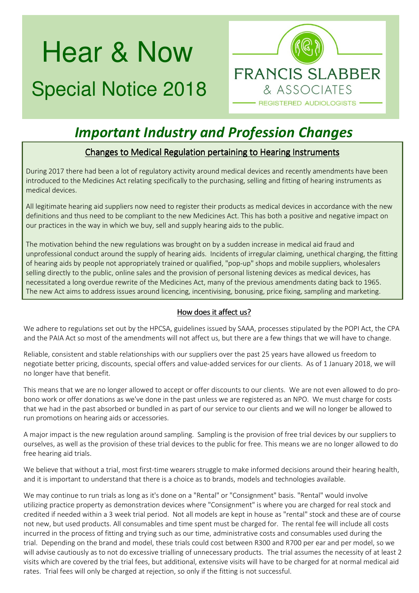# Hear & Now Special Notice 2018



## *Important Industry and Profession Changes*

### Changes to Medical Regulation pertaining to Hearing Instruments

During 2017 there had been a lot of regulatory activity around medical devices and recently amendments have been introduced to the Medicines Act relating specifically to the purchasing, selling and fitting of hearing instruments as medical devices.

All legitimate hearing aid suppliers now need to register their products as medical devices in accordance with the new definitions and thus need to be compliant to the new Medicines Act. This has both a positive and negative impact on our practices in the way in which we buy, sell and supply hearing aids to the public.

The motivation behind the new regulations was brought on by a sudden increase in medical aid fraud and unprofessional conduct around the supply of hearing aids. Incidents of irregular claiming, unethical charging, the fitting of hearing aids by people not appropriately trained or qualified, "pop-up" shops and mobile suppliers, wholesalers selling directly to the public, online sales and the provision of personal listening devices as medical devices, has necessitated a long overdue rewrite of the Medicines Act, many of the previous amendments dating back to 1965. The new Act aims to address issues around licencing, incentivising, bonusing, price fixing, sampling and marketing.

#### How does it affect us?

We adhere to regulations set out by the HPCSA, guidelines issued by SAAA, processes stipulated by the POPI Act, the CPA and the PAIA Act so most of the amendments will not affect us, but there are a few things that we will have to change.

Reliable, consistent and stable relationships with our suppliers over the past 25 years have allowed us freedom to negotiate better pricing, discounts, special offers and value-added services for our clients. As of 1 January 2018, we will no longer have that benefit.

This means that we are no longer allowed to accept or offer discounts to our clients. We are not even allowed to do probono work or offer donations as we've done in the past unless we are registered as an NPO. We must charge for costs that we had in the past absorbed or bundled in as part of our service to our clients and we will no longer be allowed to run promotions on hearing aids or accessories.

A major impact is the new regulation around sampling. Sampling is the provision of free trial devices by our suppliers to ourselves, as well as the provision of these trial devices to the public for free. This means we are no longer allowed to do free hearing aid trials.

We believe that without a trial, most first-time wearers struggle to make informed decisions around their hearing health, and it is important to understand that there is a choice as to brands, models and technologies available.

We may continue to run trials as long as it's done on a "Rental" or "Consignment" basis. "Rental" would involve utilizing practice property as demonstration devices where "Consignment" is where you are charged for real stock and credited if needed within a 3 week trial period. Not all models are kept in house as "rental" stock and these are of course not new, but used products. All consumables and time spent must be charged for. The rental fee will include all costs incurred in the process of fitting and trying such as our time, administrative costs and consumables used during the trial. Depending on the brand and model, these trials could cost between R300 and R700 per ear and per model, so we will advise cautiously as to not do excessive trialling of unnecessary products. The trial assumes the necessity of at least 2 visits which are covered by the trial fees, but additional, extensive visits will have to be charged for at normal medical aid rates. Trial fees will only be charged at rejection, so only if the fitting is not successful.